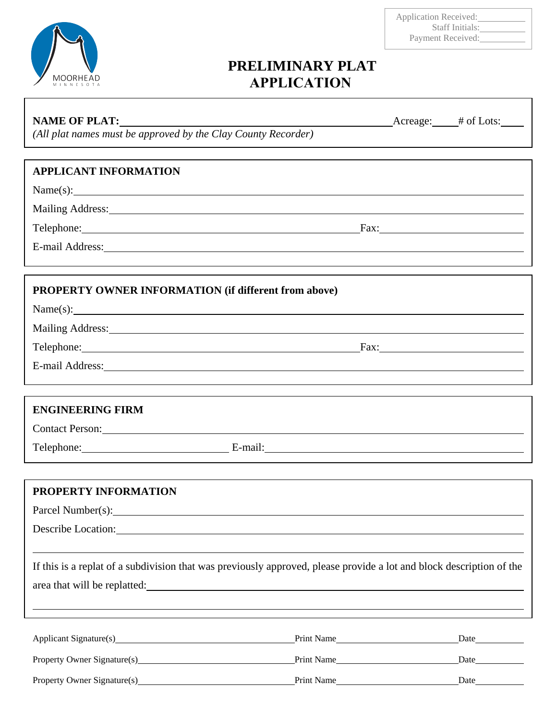

#### Application Received: Staff Initials: Payment Received:

# **PRELIMINARY PLAT APPLICATION**

### **NAME OF PLAT:** Acreage: # of Lots:

*(All plat names must be approved by the Clay County Recorder)* 

### **APPLICANT INFORMATION**

Name(s):

Mailing Address: Wallen and Contract and Contract and Contract and Contract and Contract and Contract and Contract and Contract and Contract and Contract and Contract and Contract and Contract and Contract and Contract and

Telephone: Fax:

E-mail Address:

### **PROPERTY OWNER INFORMATION (if different from above)**

| Name(s):             |  |
|----------------------|--|
| M. T. 11. A. A. 1.1. |  |

Mailing Address: 1988 and 2008 and 2008 and 2008 and 2008 and 2008 and 2008 and 2008 and 2008 and 2008 and 200

Telephone: Fax:

E-mail Address:

## **ENGINEERING FIRM**

Contact Person:

Telephone: E-mail:

## **PROPERTY INFORMATION**

Parcel Number(s):

Describe Location:

If this is a replat of a subdivision that was previously approved, please provide a lot and block description of the area that will be replatted:

| Applicant Signature(s)      | Print Name | Date |
|-----------------------------|------------|------|
| Property Owner Signature(s) | Print Name | Date |
| Property Owner Signature(s) | Print Name | Date |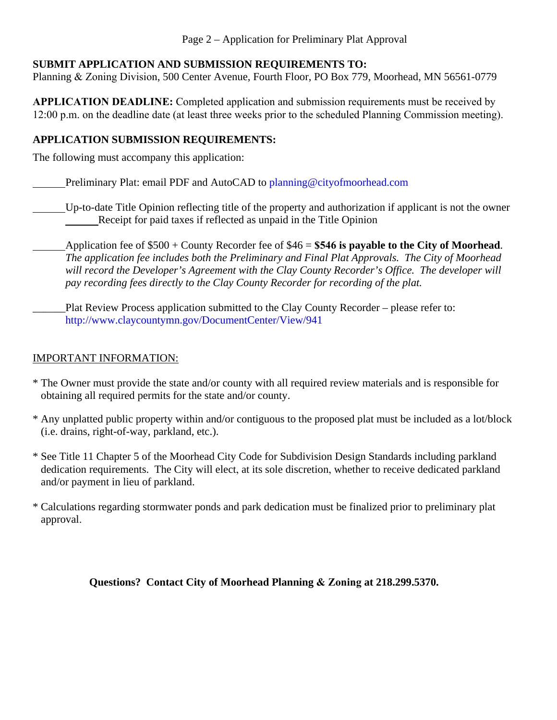### **SUBMIT APPLICATION AND SUBMISSION REQUIREMENTS TO:**

Planning & Zoning Division, 500 Center Avenue, Fourth Floor, PO Box 779, Moorhead, MN 56561-0779

**APPLICATION DEADLINE:** Completed application and submission requirements must be received by 12:00 p.m. on the deadline date (at least three weeks prior to the scheduled Planning Commission meeting).

### **APPLICATION SUBMISSION REQUIREMENTS:**

The following must accompany this application:

Preliminary Plat: email PDF and AutoCAD to planning@cityofmoorhead.com

Up-to-date Title Opinion reflecting title of the property and authorization if applicant is not the owner Receipt for paid taxes if reflected as unpaid in the Title Opinion

Application fee of \$500 + County Recorder fee of \$46 = **\$546 is payable to the City of Moorhead**. *The application fee includes both the Preliminary and Final Plat Approvals. The City of Moorhead will record the Developer's Agreement with the Clay County Recorder's Office. The developer will pay recording fees directly to the Clay County Recorder for recording of the plat.* 

Plat Review Process application submitted to the Clay County Recorder – please refer to: http://www.claycountymn.gov/DocumentCenter/View/941

### IMPORTANT INFORMATION:

- \* The Owner must provide the state and/or county with all required review materials and is responsible for obtaining all required permits for the state and/or county.
- \* Any unplatted public property within and/or contiguous to the proposed plat must be included as a lot/block (i.e. drains, right-of-way, parkland, etc.).
- \* See Title 11 Chapter 5 of the Moorhead City Code for Subdivision Design Standards including parkland dedication requirements. The City will elect, at its sole discretion, whether to receive dedicated parkland and/or payment in lieu of parkland.
- \* Calculations regarding stormwater ponds and park dedication must be finalized prior to preliminary plat approval.

**Questions? Contact City of Moorhead Planning & Zoning at 218.299.5370.**